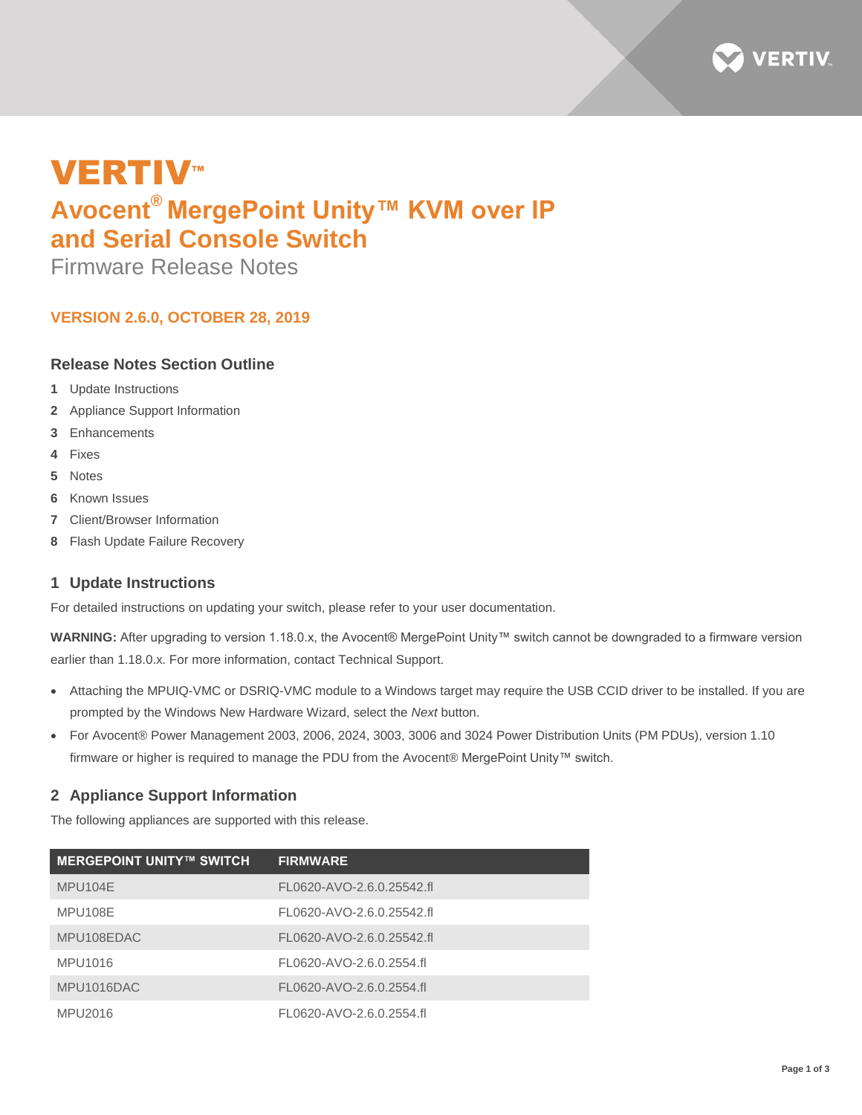

# **VERTIV™ Avocent® MergePoint Unity™ KVM over IP and Serial Console Switch**

Firmware Release Notes

# **VERSION 2.6.0, OCTOBER 28, 2019**

## **Release Notes Section Outline**

- **1** Update Instructions
- **2** Appliance Support Information
- **3** Enhancements
- **4** Fixes
- **5** Notes
- **6** Known Issues
- **7** Client/Browser Information
- **8** Flash Update Failure Recovery

## **1 Update Instructions**

For detailed instructions on updating your switch, please refer to your user documentation.

**WARNING:** After upgrading to version 1.18.0.x, the Avocent® MergePoint Unity™ switch cannot be downgraded to a firmware version earlier than 1.18.0.x. For more information, contact Technical Support.

- Attaching the MPUIQ-VMC or DSRIQ-VMC module to a Windows target may require the USB CCID driver to be installed. If you are prompted by the Windows New Hardware Wizard, select the *Next* button.
- For Avocent® Power Management 2003, 2006, 2024, 3003, 3006 and 3024 Power Distribution Units (PM PDUs), version 1.10 firmware or higher is required to manage the PDU from the Avocent® MergePoint Unity™ switch.

## **2 Appliance Support Information**

The following appliances are supported with this release.

| <b>MERGEPOINT UNITY™ SWITCH</b> | <b>FIRMWARE</b>           |
|---------------------------------|---------------------------|
| MPU104E                         | FL0620-AVO-2.6.0.25542.fl |
| MPU108E                         | FL0620-AVO-2.6.0.25542.fl |
| MPU108EDAC                      | FL0620-AVO-2.6.0.25542.fl |
| MPU1016                         | FL0620-AVO-2.6.0.2554.fl  |
| MPU1016DAC                      | FL0620-AVO-2.6.0.2554.fl  |
| MPU2016                         | FL0620-AVO-2.6.0.2554.fl  |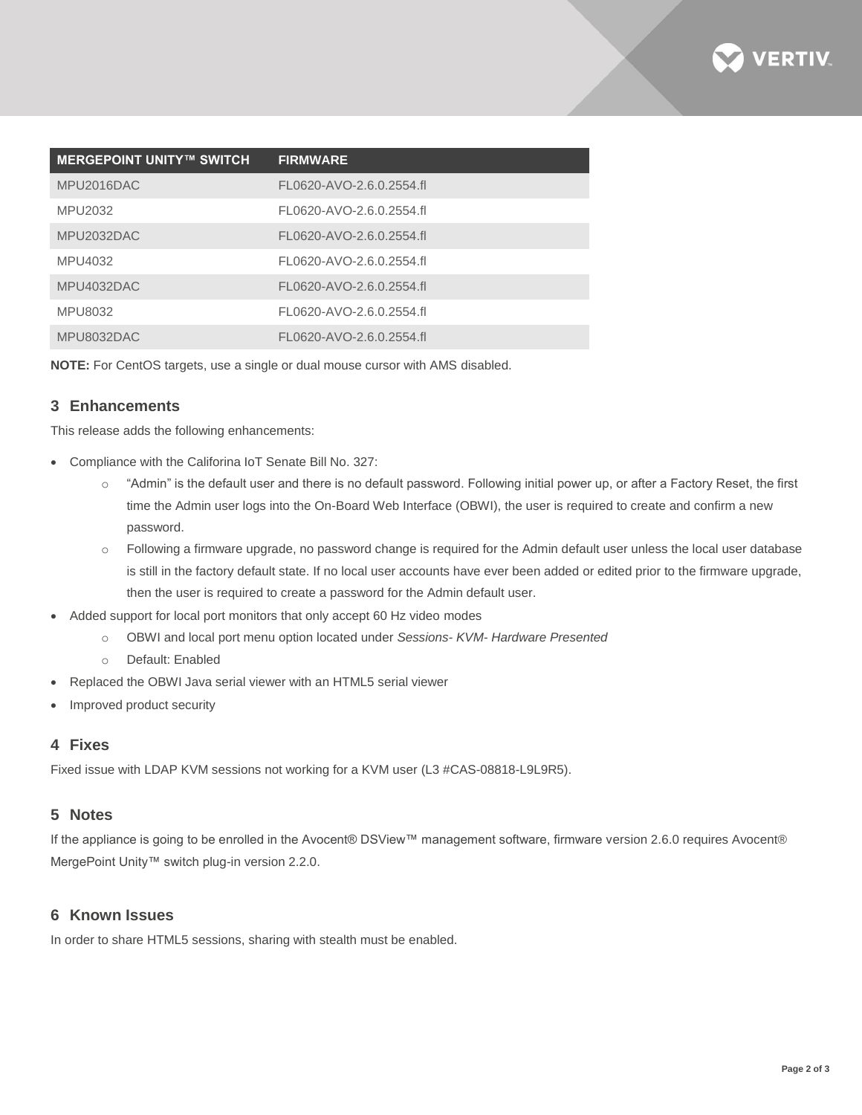

| <b>MERGEPOINT UNITY™ SWITCH</b> | <b>FIRMWARE</b>          |
|---------------------------------|--------------------------|
| MPU2016DAC                      | FL0620-AVO-2.6.0.2554.fl |
| MPU2032                         | FL0620-AVO-2.6.0.2554.fl |
| MPU2032DAC                      | FL0620-AVO-2.6.0.2554.fl |
| MPU4032                         | FL0620-AVO-2.6.0.2554.fl |
| MPU4032DAC                      | FL0620-AVO-2.6.0.2554.fl |
| MPU8032                         | FL0620-AVO-2.6.0.2554.fl |
| MPU8032DAC                      | FL0620-AVO-2.6.0.2554.fl |

**NOTE:** For CentOS targets, use a single or dual mouse cursor with AMS disabled.

## **3 Enhancements**

This release adds the following enhancements:

- Compliance with the Califorina IoT Senate Bill No. 327:
	- $\circ$  "Admin" is the default user and there is no default password. Following initial power up, or after a Factory Reset, the first time the Admin user logs into the On-Board Web Interface (OBWI), the user is required to create and confirm a new password.
	- o Following a firmware upgrade, no password change is required for the Admin default user unless the local user database is still in the factory default state. If no local user accounts have ever been added or edited prior to the firmware upgrade, then the user is required to create a password for the Admin default user.
- Added support for local port monitors that only accept 60 Hz video modes
	- o OBWI and local port menu option located under *Sessions- KVM- Hardware Presented*
	- o Default: Enabled
- Replaced the OBWI Java serial viewer with an HTML5 serial viewer
- Improved product security

#### **4 Fixes**

Fixed issue with LDAP KVM sessions not working for a KVM user (L3 #CAS-08818-L9L9R5).

#### **5 Notes**

If the appliance is going to be enrolled in the Avocent® DSView™ management software, firmware version 2.6.0 requires Avocent® MergePoint Unity™ switch plug-in version 2.2.0.

#### **6 Known Issues**

In order to share HTML5 sessions, sharing with stealth must be enabled.